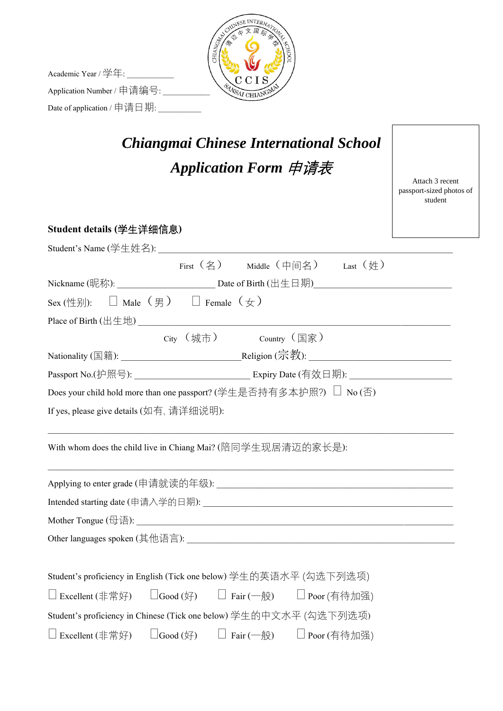

*Chiangmai Chinese International School*

Academic Year / 学年: Application Number / 申请编号: \_\_\_\_\_ Date of application / 申请日期: \_\_\_\_\_\_\_\_\_\_\_

| Application Form 申请表                                                              | Attach 3 recent<br>passport-sized photos of<br>student |
|-----------------------------------------------------------------------------------|--------------------------------------------------------|
| Student details (学生详细信息)                                                          |                                                        |
| Student's Name (学生姓名): ___________________________                                |                                                        |
| First (名) Middle (中间名) Last (姓)                                                   |                                                        |
|                                                                                   |                                                        |
| Sex (性别): $\qquad \Box$ Male (男) $\qquad \Box$ Female (女)                         |                                                        |
|                                                                                   |                                                        |
| City (城市) country (国家)                                                            |                                                        |
|                                                                                   |                                                        |
|                                                                                   |                                                        |
| Does your child hold more than one passport? (学生是否持有多本护照?) □ No (否)               |                                                        |
| If yes, please give details (如有, 请详细说明):                                          |                                                        |
| With whom does the child live in Chiang Mai? (陪同学生现居清迈的家长是):                      |                                                        |
|                                                                                   |                                                        |
|                                                                                   |                                                        |
|                                                                                   |                                                        |
| Other languages spoken (其他语言):                                                    |                                                        |
|                                                                                   |                                                        |
| Student's proficiency in English (Tick one below) 学生的英语水平 (勾选下列选项)                |                                                        |
| □ Excellent (非常好)<br>$\Box$ Good (好)<br>$\Box$ Fair (一般)<br>$\square$ Poor (有待加强) |                                                        |
| Student's proficiency in Chinese (Tick one below) 学生的中文水平 (勾选下列选项)                |                                                        |
| $\Box$ Good (好)<br>$\Box$ Excellent (非常好)<br>□ Fair (一般) □ Poor (有待加强)            |                                                        |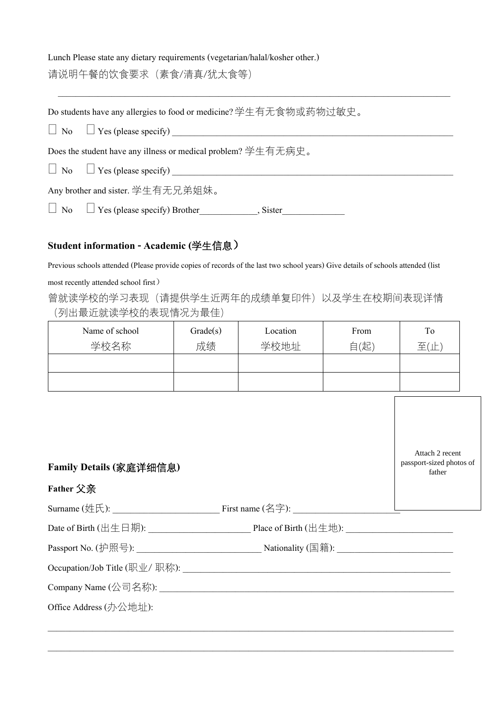## Lunch Please state any dietary requirements (vegetarian/halal/kosher other.) 请说明午餐的饮食要求(素食/清真/犹太食等)

| Do students have any allergies to food or medicine? 学生有无食物或药物过敏史。 |
|-------------------------------------------------------------------|
| $\Box$ No $\Box$ Yes (please specify)                             |
| Does the student have any illness or medical problem? 学生有无病史。     |
| $\Box$ No $\Box$ Yes (please specify)                             |
| Any brother and sister. 学生有无兄弟姐妹。                                 |

\_\_\_\_\_\_\_\_\_\_\_\_\_\_\_\_\_\_\_\_\_\_\_\_\_\_\_\_\_\_\_\_\_\_\_\_\_\_\_\_\_\_\_\_\_\_\_\_\_\_\_\_\_\_\_\_\_\_\_\_\_\_\_\_\_\_\_\_\_\_\_\_\_\_\_\_\_\_\_\_\_\_\_\_\_\_\_\_

No Yes (please specify) Brother\_\_\_\_\_\_\_\_\_\_\_\_\_, Sister\_\_\_\_\_\_\_\_\_\_\_\_\_\_

## **Student information - Academic (**学生信息)

Previous schools attended (Please provide copies of records of the last two school years) Give details of schools attended (list

most recently attended school first)

曾就读学校的学习表现(请提供学生近两年的成绩单复印件)以及学生在校期间表现详情 (列出最近就读学校的表现情况为最佳)

| Name of school | Grade(s) | Location | From | To            |
|----------------|----------|----------|------|---------------|
| 学校名称           | 成绩       | 学校地址     | 自(起) | 至<br>$\vdash$ |
|                |          |          |      |               |
|                |          |          |      |               |

| Family Details (家庭详细信息) |                                                | Attach 2 recent<br>passport-sized photos of<br>father |
|-------------------------|------------------------------------------------|-------------------------------------------------------|
| Father 父亲               |                                                |                                                       |
|                         | Surname (姓氏): $\qquad \qquad$ First name (名字): |                                                       |
|                         | Date of Birth (出生日期): Place of Birth (出生地):    |                                                       |
|                         |                                                |                                                       |
|                         | Occupation/Job Title (职业/ 职称):                 |                                                       |
|                         |                                                |                                                       |
| Office Address (办公地址):  |                                                |                                                       |

 $\_$  , and the set of the set of the set of the set of the set of the set of the set of the set of the set of the set of the set of the set of the set of the set of the set of the set of the set of the set of the set of th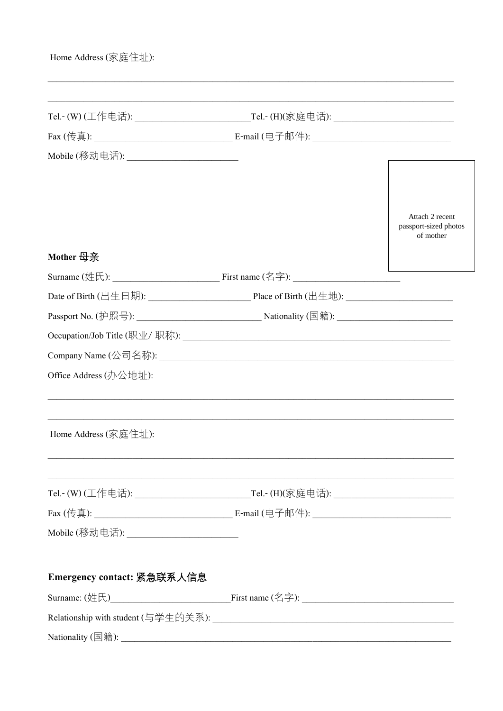| Home Address (家庭住址):                     |                                                       |
|------------------------------------------|-------------------------------------------------------|
|                                          |                                                       |
|                                          |                                                       |
|                                          |                                                       |
| Mobile (移动电话): _________________________ |                                                       |
|                                          |                                                       |
|                                          | Attach 2 recent<br>passport-sized photos<br>of mother |
| Mother 母亲                                |                                                       |
|                                          |                                                       |
|                                          |                                                       |
|                                          |                                                       |
|                                          |                                                       |
|                                          |                                                       |
| Office Address (办公地址):                   |                                                       |
| Home Address (家庭住址):                     |                                                       |
|                                          |                                                       |
|                                          |                                                       |
| Mobile (移动电话): _______________________   |                                                       |
| Emergency contact: 紧急联系人信息               |                                                       |
|                                          |                                                       |
|                                          |                                                       |
|                                          |                                                       |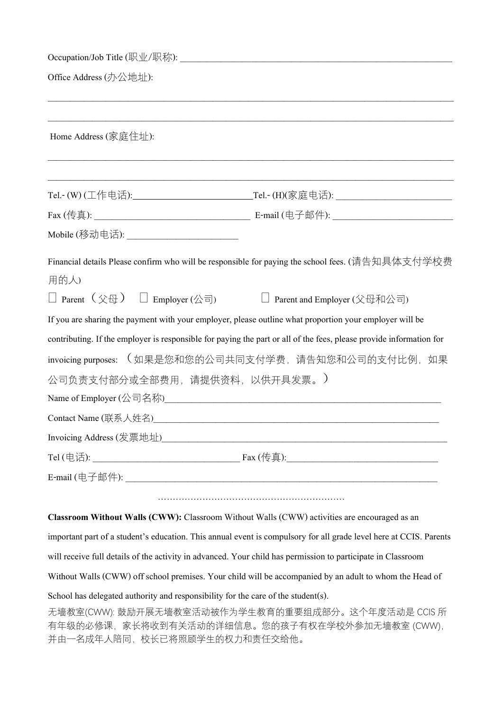| Office Address (办公地址):                                                            |                                                                                                                     |
|-----------------------------------------------------------------------------------|---------------------------------------------------------------------------------------------------------------------|
|                                                                                   |                                                                                                                     |
| Home Address (家庭住址):                                                              |                                                                                                                     |
|                                                                                   |                                                                                                                     |
|                                                                                   |                                                                                                                     |
|                                                                                   |                                                                                                                     |
| Mobile (移动电话): ________________________                                           |                                                                                                                     |
| 用的人)                                                                              | Financial details Please confirm who will be responsible for paying the school fees. (请告知具体支付学校费                    |
| □ Parent $(\Diamond \oplus)$ □ Employer (公司)                                      | □ Parent and Employer (父母和公司)                                                                                       |
|                                                                                   | If you are sharing the payment with your employer, please outline what proportion your employer will be             |
|                                                                                   | contributing. If the employer is responsible for paying the part or all of the fees, please provide information for |
|                                                                                   | invoicing purposes: (如果是您和您的公司共同支付学费, 请告知您和公司的支付比例, 如果                                                              |
| 公司负责支付部分或全部费用, 请提供资料, 以供开具发票。)                                                    |                                                                                                                     |
|                                                                                   | Name of Employer (公司名称) Name of Employer (公司名称)                                                                     |
|                                                                                   |                                                                                                                     |
|                                                                                   |                                                                                                                     |
|                                                                                   |                                                                                                                     |
|                                                                                   |                                                                                                                     |
|                                                                                   |                                                                                                                     |
|                                                                                   | Classroom Without Walls (CWW): Classroom Without Walls (CWW) activities are encouraged as an                        |
|                                                                                   | important part of a student's education. This annual event is compulsory for all grade level here at CCIS. Parents  |
|                                                                                   | will receive full details of the activity in advanced. Your child has permission to participate in Classroom        |
|                                                                                   | Without Walls (CWW) off school premises. Your child will be accompanied by an adult to whom the Head of             |
| School has delegated authority and responsibility for the care of the student(s). |                                                                                                                     |
| 并由一名成年人陪同,校长已将照顾学生的权力和责任交给他。                                                      | 无墙教室(CWW): 鼓励开展无墙教室活动被作为学生教育的重要组成部分。这个年度活动是 CCIS 所<br>有年级的必修课, 家长将收到有关活动的详细信息。您的孩子有权在学校外参加无墙教室 (CWW),               |